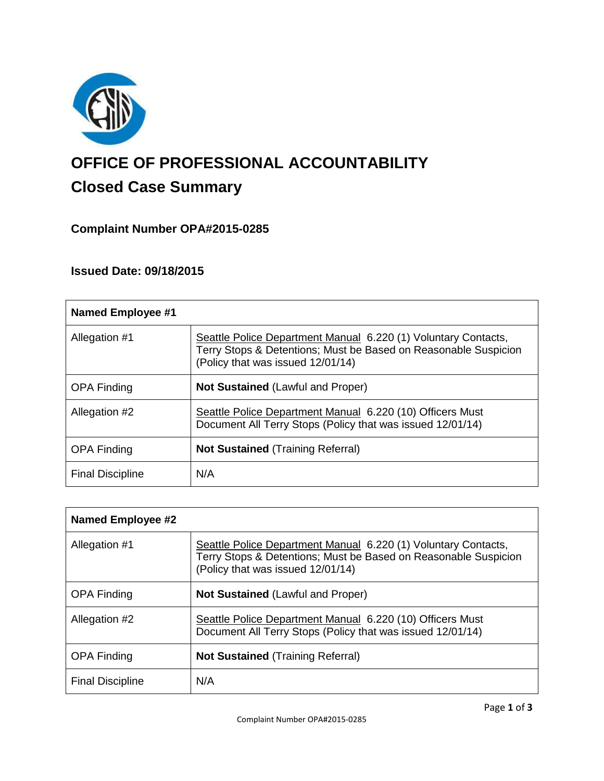

# **OFFICE OF PROFESSIONAL ACCOUNTABILITY Closed Case Summary**

# **Complaint Number OPA#2015-0285**

# **Issued Date: 09/18/2015**

| <b>Named Employee #1</b> |                                                                                                                                                                        |
|--------------------------|------------------------------------------------------------------------------------------------------------------------------------------------------------------------|
| Allegation #1            | Seattle Police Department Manual 6.220 (1) Voluntary Contacts,<br>Terry Stops & Detentions; Must be Based on Reasonable Suspicion<br>(Policy that was issued 12/01/14) |
| <b>OPA Finding</b>       | <b>Not Sustained (Lawful and Proper)</b>                                                                                                                               |
| Allegation #2            | Seattle Police Department Manual 6.220 (10) Officers Must<br>Document All Terry Stops (Policy that was issued 12/01/14)                                                |
| <b>OPA Finding</b>       | <b>Not Sustained (Training Referral)</b>                                                                                                                               |
| <b>Final Discipline</b>  | N/A                                                                                                                                                                    |

| <b>Named Employee #2</b> |                                                                                                                                                                        |
|--------------------------|------------------------------------------------------------------------------------------------------------------------------------------------------------------------|
| Allegation #1            | Seattle Police Department Manual 6.220 (1) Voluntary Contacts,<br>Terry Stops & Detentions; Must be Based on Reasonable Suspicion<br>(Policy that was issued 12/01/14) |
| <b>OPA Finding</b>       | <b>Not Sustained (Lawful and Proper)</b>                                                                                                                               |
| Allegation #2            | Seattle Police Department Manual 6.220 (10) Officers Must<br>Document All Terry Stops (Policy that was issued 12/01/14)                                                |
| <b>OPA Finding</b>       | <b>Not Sustained (Training Referral)</b>                                                                                                                               |
| <b>Final Discipline</b>  | N/A                                                                                                                                                                    |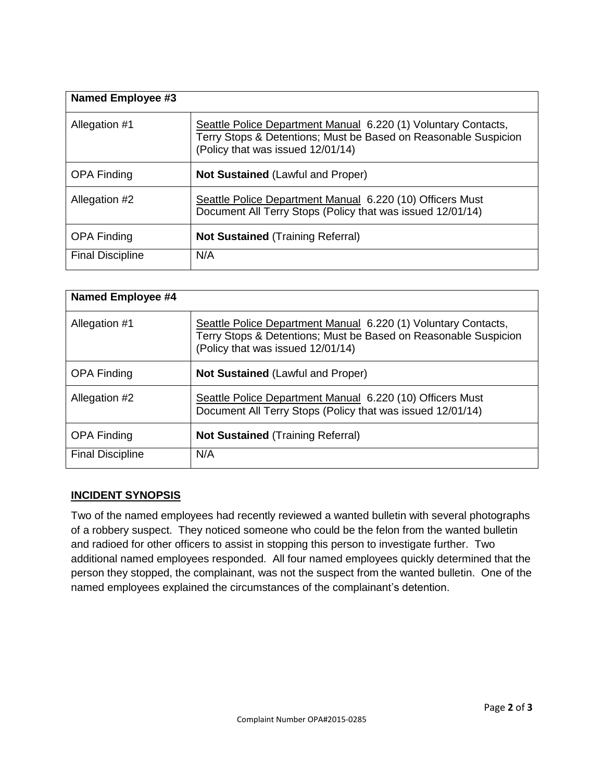| Named Employee #3       |                                                                                                                                                                        |
|-------------------------|------------------------------------------------------------------------------------------------------------------------------------------------------------------------|
| Allegation #1           | Seattle Police Department Manual 6.220 (1) Voluntary Contacts,<br>Terry Stops & Detentions; Must be Based on Reasonable Suspicion<br>(Policy that was issued 12/01/14) |
| <b>OPA Finding</b>      | <b>Not Sustained (Lawful and Proper)</b>                                                                                                                               |
| Allegation #2           | Seattle Police Department Manual 6.220 (10) Officers Must<br>Document All Terry Stops (Policy that was issued 12/01/14)                                                |
| <b>OPA Finding</b>      | <b>Not Sustained</b> (Training Referral)                                                                                                                               |
| <b>Final Discipline</b> | N/A                                                                                                                                                                    |

| <b>Named Employee #4</b> |                                                                                                                                                                        |
|--------------------------|------------------------------------------------------------------------------------------------------------------------------------------------------------------------|
| Allegation #1            | Seattle Police Department Manual 6.220 (1) Voluntary Contacts,<br>Terry Stops & Detentions; Must be Based on Reasonable Suspicion<br>(Policy that was issued 12/01/14) |
| <b>OPA Finding</b>       | <b>Not Sustained (Lawful and Proper)</b>                                                                                                                               |
| Allegation #2            | Seattle Police Department Manual 6.220 (10) Officers Must<br>Document All Terry Stops (Policy that was issued 12/01/14)                                                |
| <b>OPA Finding</b>       | <b>Not Sustained (Training Referral)</b>                                                                                                                               |
| <b>Final Discipline</b>  | N/A                                                                                                                                                                    |

## **INCIDENT SYNOPSIS**

Two of the named employees had recently reviewed a wanted bulletin with several photographs of a robbery suspect. They noticed someone who could be the felon from the wanted bulletin and radioed for other officers to assist in stopping this person to investigate further. Two additional named employees responded. All four named employees quickly determined that the person they stopped, the complainant, was not the suspect from the wanted bulletin. One of the named employees explained the circumstances of the complainant's detention.